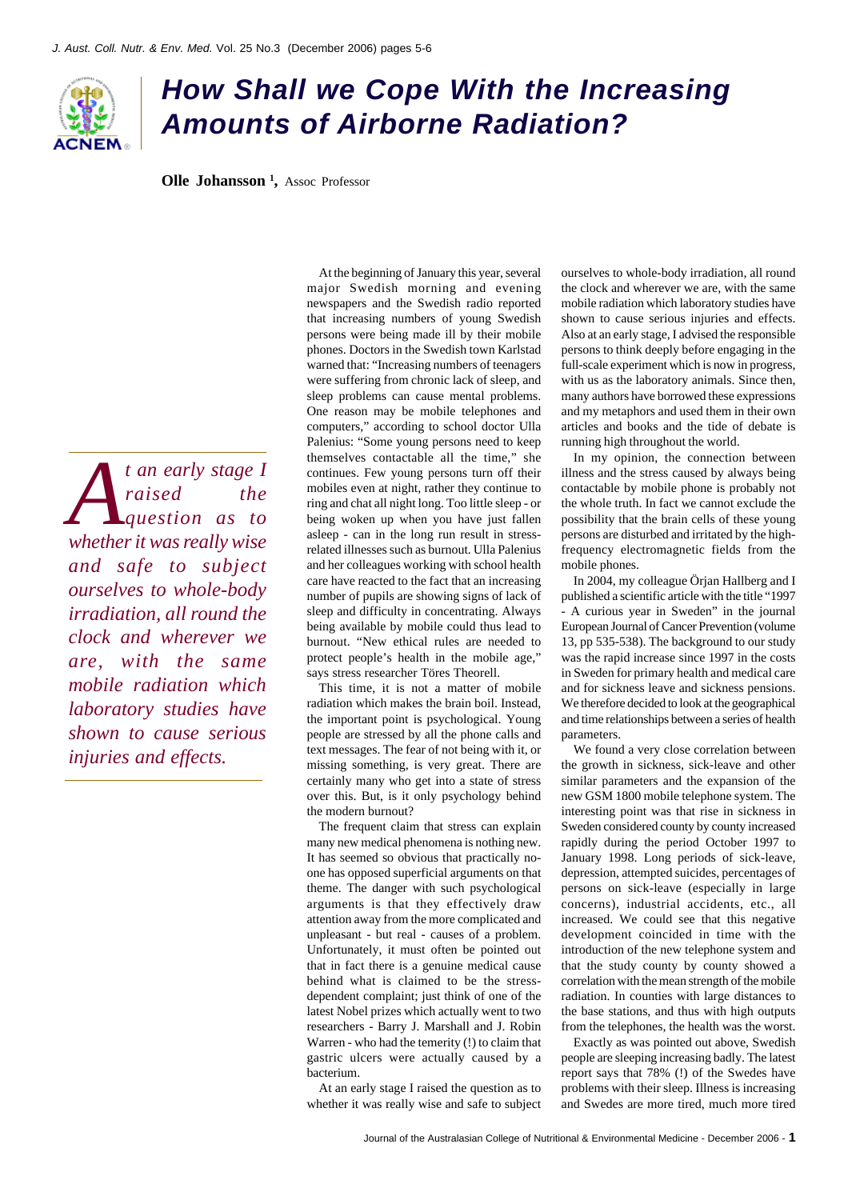

## *How Shall we Cope With the Increasing Amounts of Airborne Radiation?*

**Olle Johansson<sup>1</sup>**, Assoc Professor

*A t* an early stage *I* raised the question as to *raised the question as to whether it was really wise and safe to subject ourselves to whole-body irradiation, all round the clock and wherever we are, with the same mobile radiation which laboratory studies have shown to cause serious injuries and effects.*

At the beginning of January this year, several major Swedish morning and evening newspapers and the Swedish radio reported that increasing numbers of young Swedish persons were being made ill by their mobile phones. Doctors in the Swedish town Karlstad warned that: "Increasing numbers of teenagers were suffering from chronic lack of sleep, and sleep problems can cause mental problems. One reason may be mobile telephones and computers," according to school doctor Ulla Palenius: "Some young persons need to keep themselves contactable all the time," she continues. Few young persons turn off their mobiles even at night, rather they continue to ring and chat all night long. Too little sleep - or being woken up when you have just fallen asleep - can in the long run result in stressrelated illnesses such as burnout. Ulla Palenius and her colleagues working with school health care have reacted to the fact that an increasing number of pupils are showing signs of lack of sleep and difficulty in concentrating. Always being available by mobile could thus lead to burnout. "New ethical rules are needed to protect people's health in the mobile age," says stress researcher Töres Theorell.

This time, it is not a matter of mobile radiation which makes the brain boil. Instead, the important point is psychological. Young people are stressed by all the phone calls and text messages. The fear of not being with it, or missing something, is very great. There are certainly many who get into a state of stress over this. But, is it only psychology behind the modern burnout?

The frequent claim that stress can explain many new medical phenomena is nothing new. It has seemed so obvious that practically noone has opposed superficial arguments on that theme. The danger with such psychological arguments is that they effectively draw attention away from the more complicated and unpleasant - but real - causes of a problem. Unfortunately, it must often be pointed out that in fact there is a genuine medical cause behind what is claimed to be the stressdependent complaint; just think of one of the latest Nobel prizes which actually went to two researchers - Barry J. Marshall and J. Robin Warren - who had the temerity (!) to claim that gastric ulcers were actually caused by a bacterium.

At an early stage I raised the question as to whether it was really wise and safe to subject ourselves to whole-body irradiation, all round the clock and wherever we are, with the same mobile radiation which laboratory studies have shown to cause serious injuries and effects. Also at an early stage, I advised the responsible persons to think deeply before engaging in the full-scale experiment which is now in progress, with us as the laboratory animals. Since then, many authors have borrowed these expressions and my metaphors and used them in their own articles and books and the tide of debate is running high throughout the world.

In my opinion, the connection between illness and the stress caused by always being contactable by mobile phone is probably not the whole truth. In fact we cannot exclude the possibility that the brain cells of these young persons are disturbed and irritated by the highfrequency electromagnetic fields from the mobile phones.

In 2004, my colleague Örjan Hallberg and I published a scientific article with the title "1997 - A curious year in Sweden" in the journal European Journal of Cancer Prevention (volume 13, pp 535-538). The background to our study was the rapid increase since 1997 in the costs in Sweden for primary health and medical care and for sickness leave and sickness pensions. We therefore decided to look at the geographical and time relationships between a series of health parameters.

We found a very close correlation between the growth in sickness, sick-leave and other similar parameters and the expansion of the new GSM 1800 mobile telephone system. The interesting point was that rise in sickness in Sweden considered county by county increased rapidly during the period October 1997 to January 1998. Long periods of sick-leave, depression, attempted suicides, percentages of persons on sick-leave (especially in large concerns), industrial accidents, etc., all increased. We could see that this negative development coincided in time with the introduction of the new telephone system and that the study county by county showed a correlation with the mean strength of the mobile radiation. In counties with large distances to the base stations, and thus with high outputs from the telephones, the health was the worst.

Exactly as was pointed out above, Swedish people are sleeping increasing badly. The latest report says that 78% (!) of the Swedes have problems with their sleep. Illness is increasing and Swedes are more tired, much more tired